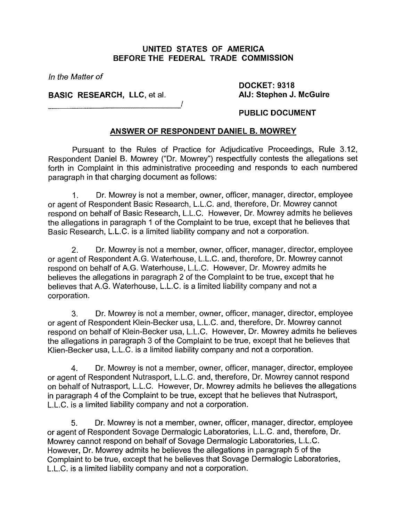## **UNITED STATES OF AMERICA BEFORE THE FEDERAL TRADE COMMISSION**

**In** the Matter of

**BASIC RESEARCH, LLC,** et al.

**DOCKET: 9318 AIJ: Stephen J. McGuire** 

# **PUBLIC DOCUMENT**

## **ANSWER OF RESPONDENT DANIEL B. MOWREY**

I

Pursuant to the Rules of Practice for Adjudicative Proceedings, Rule 3.12, Respondent Daniel B. Mowrey ("Dr. Mowrey") respectfully contests the allegations set forth in Complaint in this administrative proceeding and responds to each numbered paragraph in that charging document as follows:

I. Dr. Mowrey is not a member, owner, officer, manager, director, employee or agent of Respondent Basic Research, L.L.C. and, therefore, Dr. Mowrey cannot respond on behalf of Basic Research, L.L.C. However, Dr. Mowrey admits he believes the allegations in paragraph 1 of the Complaint to be true, except that he believes that Basic Research, L.L.C. is a limited liability company and not a corporation.

2. Dr. Mowrey is not a member, owner, officer, manager, director, employee or agent of Respondent A.G. Waterhouse, L.L.C. and, therefore, Dr. Mowrey cannot respond on behalf of A.G. Waterhouse, L.L.C. However, Dr. Mowrey admits he believes the allegations in paragraph 2 of the Complaint to be true, except that he believes that A.G. Waterhouse, L.L.C. is a limited liability company and not a corporation.

3. Dr. Mowrey is not a member, owner, officer, manager, director, employee or agent of Respondent Klein-Becker usa, L.L.C. and, therefore, Dr. Mowrey cannot respond on behalf of Klein-Becker usa, L.L.C. However, Dr. Mowrey admits he believes the allegations in paragraph 3 of the Complaint to be true, except that he believes that Klien-Becker usa, L.L.C. is a limited liability company and not a corporation.

4. Dr. Mowrey is not a member, owner, officer, manager, director, employee or agent of Respondent Nutrasport, L.L.C. and, therefore, Dr. Mowrey cannot respond on behalf of Nutrasport, L.L.C. However, Dr. Mowrey admits he believes the allegations in paragraph 4 of the Complaint to be true, except that he believes that Nutrasport, L.L.C. is a limited liability company and not a corporation.

**5.** Dr. Mowrey is not a member, owner, officer, manager, director, employee or agent of Respondent Sovage Dermalogic Laboratories, L.L.C. and, therefore, Dr. Mowrey cannot respond on behalf of Sovage Dermalogic Laboratories, L.L.C. However, Dr. Mowrey admits he believes the allegations in paragraph 5 of the Complaint to be true, except that he believes that Sovage Dermalogic Laboratories, L.L.C. is a limited liability company and not a corporation.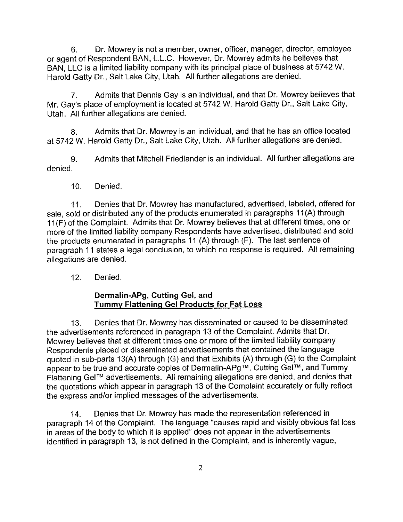6. Dr. Mowrey is not a member, owner, officer, manager, director, employee or agent of Respondent BAN, L.L.C. However, Dr. Mowrey admits he believes that BAN, LLC is a limited liability company with its principal place of business at 5742 W. Harold Gatty Dr., Salt Lake City, Utah. All further allegations are denied.

7. Admits that Dennis Gay is an individual, and that Dr. Mowrey believes that Mr. Gay's place of employment is located at 5742 W. Harold Gatty Dr., Salt Lake City, Utah. All further allegations are denied.

8. Admits that Dr. Mowrey is an individual, and that he has an office located at 5742 W. Harold Gatty Dr., Salt Lake City, Utah. All further allegations are denied.

9. Admits that Mitchell Friedlander is an individual. All further allegations are denied.

10. Denied.

11. Denies that Dr. Mowrey has manufactured, advertised, labeled, offered for sale, sold or distributed any of the products enumerated in paragraphs 11(A) through 11 (F) of the Complaint. Admits that Dr. Mowrey believes that at different times, one or more of the limited liability company Respondents have advertised, distributed and sold the products enumerated in paragraphs 11 (A) through (F). The last sentence of paragraph 11 states a legal conclusion, to which no response is required. All remaining allegations are denied.

12. Denied.

## **Derrnalin-APg, Cutting Gel, and Tummy Flattening Gel Products for Fat Loss**

13. Denies that Dr. Mowrey has disseminated or caused to be disseminated the advertisements referenced in paragraph 13 of the Complaint. Admits that Dr. Mowrey believes that at different times one or more of the limited liability company Respondents placed or disseminated advertisements that contained the language quoted in sub-parts 13(A) through (G) and that Exhibits (A) through (G) to the Complaint appear to be true and accurate copies of Dermalin-APg™, Cutting Gel™, and Tummy Flattening GelTM advertisements. All remaining allegations are denied, and denies that the quotations which appear in paragraph 13 of the Complaint accurately or fully reflect the express and/or implied messages of the advertisements.

14. Denies that Dr. Mowrey has made the representation referenced in paragraph 14 of the Complaint. The language "causes rapid and visibly obvious fat loss in areas of the body to which it is applied" does not appear in the advertisements identified in paragraph 13, is not defined in the Complaint, and is inherently vague,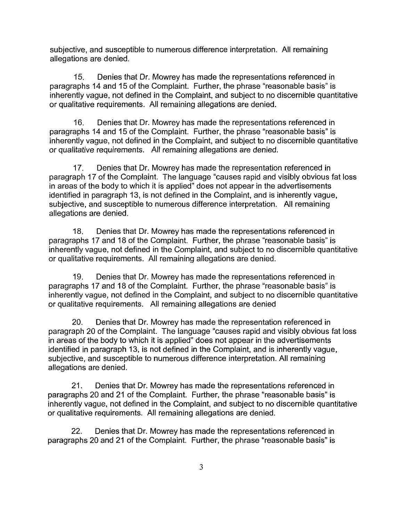subjective, and susceptible to numerous difference interpretation. All remaining allegations are denied.

15. Denies that Dr. Mowrey has made the representations referenced in paragraphs 14 and 15 of the Complaint. Further, the phrase "reasonable basis" is inherently vague, not defined in the Complaint, and subject to no discernible quantitative or qualitative requirements. All remaining allegations are denied.

16. Denies that Dr. Mowrey has made the representations referenced in paragraphs 14 and 15 of the Complaint. Further, the phrase "reasonable basis" is inherently vague, not defined in the Complaint, and subject to no discernible quantitative or qualitative requirements. All remaining allegations are denied.

17. Denies that Dr. Mowrey has made the representation referenced in paragraph 17 of the Complaint. The language "causes rapid and visibly obvious fat loss in areas of the body to which it is applied" does not appear in the advertisements identified in paragraph 13, is not defined in the Complaint, and is inherently vague, subjective, and susceptible to numerous difference interpretation. All remaining allegations are denied.

18. Denies that Dr. Mowrey has made the representations referenced in paragraphs 17 and 18 of the Complaint. Further, the phrase "reasonable basis" is inherently vague, not defined in the Complaint, and subject to no discernible quantitative or qualitative requirements. All remaining allegations are denied.

19. Denies that Dr. Mowrey has made the representations referenced in paragraphs 17 and 18 of the Complaint. Further, the phrase "reasonable basis" is inherently vague, not defined in the Complaint, and subject to no discernible quantitative or qualitative requirements. All remaining allegations are denied

20. Denies that Dr. Mowrey has made the representation referenced in paragraph 20 of the Complaint. The language "causes rapid and visibly obvious fat loss in areas of the body to which it is applied" does not appear in the advertisements identified in paragraph 13, is not defined in the Complaint, and is inherently vague, subjective, and susceptible to numerous difference interpretation. All remaining allegations are denied.

21. Denies that Dr. Mowrey has made the representations referenced in paragraphs 20 and 21 of the Complaint. Further, the phrase "reasonable basis" is inherently vague, not defined in the Complaint, and subject to no discernible quantitative or qualitative requirements. All remaining allegations are denied.

22. Denies that Dr. Mowrey has made the representations referenced in paragraphs 20 and 21 of the Complaint. Further, the phrase "reasonable basis" is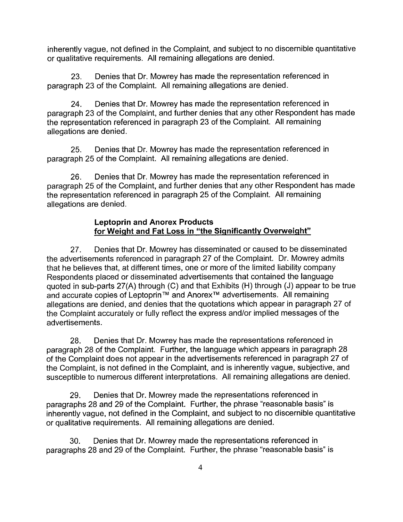inherently vague, not defined in the Complaint, and subject to no discernible quantitative or qualitative requirements. All remaining allegations are denied.

23. Denies that Dr. Mowrey has made the representation referenced in paragraph 23 of the Complaint. Ail remaining allegations are denied.

24. Denies that Dr. Mowrey has made the representation referenced in paragraph 23 of the Complaint, and further denies that any other Respondent has made the representation referenced in paragraph 23 of the Complaint. All remaining allegations are denied.

25. Denies that Dr. Mowrey has made the representation referenced in paragraph 25 of the Complaint. All remaining allegations are denied.

26. Denies that Dr. Mowrey has made the representation referenced in paragraph 25 of the Complaint, and further denies that any other Respondent has made the representation referenced in paragraph 25 of the Complaint. All remaining allegations are denied.

## **Leptoprin and Anorex Products**  for Weight and Fat Loss in "the Significantly Overweight"

27. Denies that Dr. Mowrey has disseminated or caused to be disseminated the advertisements referenced in paragraph 27 of the Complaint. Dr. Mowrey admits that he believes that, at different times, one or more of the limited liability company Respondents placed or disseminated advertisements that contained the language quoted in sub-parts 27(A) through (C) and that Exhibits (H) through (J) appear to be true and accurate copies of Leptoprin™ and Anorex™ advertisements. All remaining allegations are denied, and denies that the quotations which appear in paragraph 27 of the Complaint accurately or fully reflect the express and/or implied messages of the advertisements.

28. Denies that Dr. Mowrey has made the representations referenced in paragraph 28 of the Complaint. Further, the language which appears in paragraph 28 of the Complaint does not appear in the advertisements referenced in paragraph 27 of the Complaint, is not defined in the Complaint, and is inherently vague, subjective, and susceptible to numerous different interpretations. All remaining allegations are denied.

29. Denies that Dr. Mowrey made the representations referenced in paragraphs 28 and 29 of the Complaint. Further, the phrase "reasonable basis" is inherently vague, not defined in the Complaint, and subject to no discernible quantitative or qualitative requirements. All remaining allegations are denied.

30. Denies that Dr. Mowrey made the representations referenced in paragraphs 28 and 29 of the Complaint. Further, the phrase "reasonable basis" is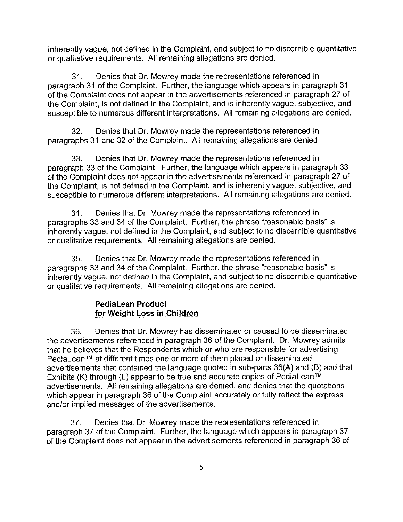inherently vague, not defined in the Complaint, and subject to no discernible quantitative or qualitative requirements. All remaining allegations are denied.

31. Denies that Dr. Mowrey made the representations referenced in paragraph 31 of the Complaint. Further, the language which appears in paragraph 31 of the Complaint does not appear in the advertisements referenced in paragraph 27 of the Complaint, is not defined in the Complaint, and is inherently vague, subjective, and susceptible to numerous different interpretations. All remaining allegations are denied.

32. Denies that Dr. Mowrey made the representations referenced in paragraphs 31 and 32 of the Complaint. All remaining allegations are denied.

33. Denies that Dr. Mowrey made the representations referenced in paragraph 33 of the Complaint. Further, the language which appears in paragraph 33 of the Complaint does not appear in the advertisements referenced in paragraph 27 of the Complaint, is not defined in the Complaint, and is inherently vague, subjective, and susceptible to numerous different interpretations. All remaining allegations are denied.

34. Denies that Dr. Mowrey made the representations referenced in paragraphs 33 and 34 of the Complaint. Further, the phrase "reasonable basis" is inherently vague, not defined in the Complaint, and subject to no discernible quantitative or qualitative requirements. All remaining allegations are denied.

35. Denies that Dr. Mowrey made the representations referenced in paragraphs 33 and 34 of the Complaint. Further, the phrase "reasonable basis" is inherently vague, not defined in the Complaint, and subject to no discernible quantitative or qualitative requirements. All remaining allegations are denied.

# **PediaLean Product for Weiqht Loss in Children**

36. Denies that Dr. Mowrey has disseminated or caused to be disseminated the advertisements referenced in paragraph 36 of the Complaint. Dr. Mowrey admits that he believes that the Respondents which or who are responsible for advertising PediaLean™ at different times one or more of them placed or disseminated advertisements that contained the language quoted in sub-parts 36(A) and (B) and that Exhibits (K) through (L) appear to be true and accurate copies of PediaLean<sup>TM</sup> advertisements. All remaining allegations are denied, and denies that the quotations which appear in paragraph 36 of the Complaint accurately or fully reflect the express and/or implied messages of the advertisements.

37. Denies that Dr. Mowrey made the representations referenced in paragraph 37 of the Complaint. Further, the language which appears in paragraph 37 of the Complaint does not appear in the advertisements referenced in paragraph 36 of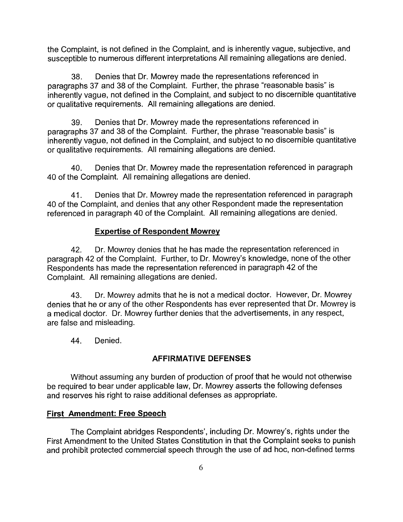the Complaint, is not defined in the Complaint, and is inherently vague, subjective, and susceptible to numerous different interpretations All remaining allegations are denied.

38. Denies that Dr. Mowrey made the representations referenced in paragraphs 37 and 38 of the Complaint. Further, the phrase "reasonable basis" is inherently vague, not defined in the Complaint, and subject to no discernible quantitative or qualitative requirements. All remaining allegations are denied.

39. Denies that Dr. Mowrey made the representations referenced in paragraphs 37 and 38 of the Complaint. Further, the phrase "reasonable basis" is inherently vague, not defined in the Complaint, and subject to no discernible quantitative or qualitative requirements. All remaining allegations are denied.

40. Denies that Dr. Mowrey made the representation referenced in paragraph 40 of the Complaint. All remaining allegations are denied.

41. Denies that Dr. Mowrey made the representation referenced in paragraph 40 of the Complaint, and denies that any other Respondent made the representation referenced in paragraph 40 of the Complaint. All remaining allegations are denied.

# Expertise of Respondent Mowrey

42. Dr. Mowrey denies that he has made the representation referenced in paragraph 42 of the Complaint. Further, to Dr. Mowrey's knowledge, none of the other Respondents has made the representation referenced in paragraph 42 of the Complaint. All remaining allegations are denied.

43. Dr. Mowrey admits that he is not a medical doctor. However, Dr. Mowrey denies that he or any of the other Respondents has ever represented that Dr. Mowrey is a medical doctor. Dr. Mowrey further denies that the advertisements, in any respect, are false and misleading.

44. Denied,

# AFFIRMATIVE DEFENSES

Without assuming any burden of production of proof that he would not otherwise be required to bear under applicable law, Dr. Mowrey asserts the following defenses and reserves his right to raise additional defenses as appropriate.

# First Amendment: Free Speech

The Complaint abridges Respondents', including Dr. Mowrey's, rights under the First Amendment to the United States Constitution in that the Complaint seeks to punish and prohibit protected commercial speech through the use of ad hoc, non-defined terms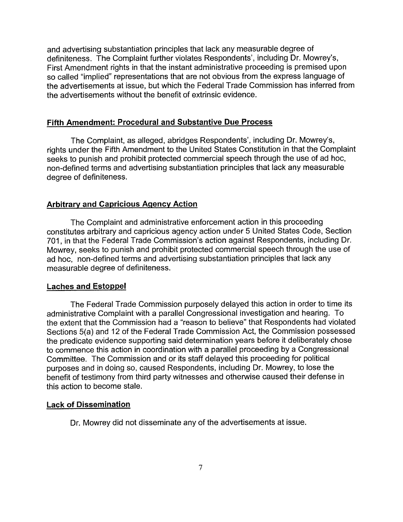and advertising substantiation principles that lack any measurable degree of definiteness. The Complaint further violates Respondents', including Dr. Mowrey's, First Amendment rights in that the instant administrative proceeding is premised upon so called "implied" representations that are not obvious from the express language of the advertisements at issue, but which the Federal Trade Commission has inferred from the advertisements without the benefit of extrinsic evidence.

#### **Fifth Amendment: Procedural and Substantive Due Process**

The Complaint, as alleged, abridges Respondents', including Dr. Mowrey's, rights under the Fifth Amendment to the United States Constitution in that the Complaint seeks to punish and prohibit protected commercial speech through the use of ad hoc, non-defined terms and advertising substantiation principles that lack any measurable degree of definiteness.

## **Arbitrarv and Capricious Agency Action**

The Complaint and administrative enforcement action in this proceeding constitutes arbitrary and capricious agency action under 5 United States Code, Section 701, in that the Federal Trade Commission's action against Respondents, including Dr. Mowrey, seeks to punish and prohibit protected commercial speech through the use of ad hoc, non-defined terms and advertising substantiation principles that lack any measurable degree of definiteness.

#### **Laches and Estoppel**

The Federal Trade Commission purposely delayed this action in order to time its administrative Complaint with a parallel Congressional investigation and hearing. To the extent that the Commission had a "reason to believe" that Respondents had violated Sections 5(a) and 12 of the Federal Trade Commission Act, the Commission possessed the predicate evidence supporting said determination years before it deliberately chose to commence this action in coordination with a parallel proceeding by a Congressional Committee. The Commission and or its staff delayed this proceeding for political purposes and in doing so, caused Respondents, including Dr. Mowrey, to lose the benefit of testimony from third party witnesses and otherwise caused their defense in this action to become stale.

#### **Lack of Dissemination**

Dr. Mowrey did not disseminate any of the advertisements at issue.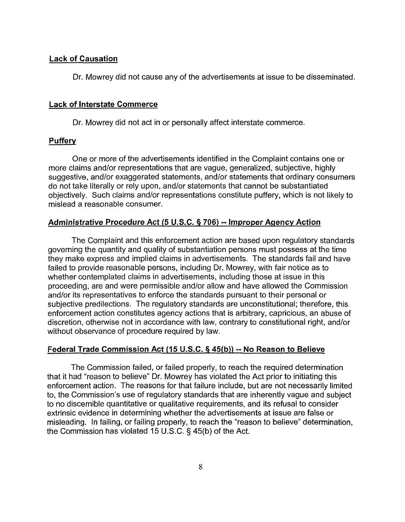#### Lack of Causation

Dr. Mowrey did not cause any of the advertisements at issue to be disseminated.

#### Lack of Interstate Commerce

Dr. Mowrey did not act in or personally affect interstate commerce.

### **Puffery**

One or more of the advertisements identified in the Complaint contains one or more claims and/or representations that are vague, generalized, subjective, highly suggestive, and/or exaggerated statements, and/or statements that ordinary consumers do not take literally or rely upon, and/or statements that cannot be substantiated objectively. Such claims and/or representations constitute puffery, which is not likely to mislead a reasonable consumer.

#### Administrative Procedure Act **(5** U.S.C. **5 706)** -- Improper Aqencv Action

The Complaint and this enforcement action are based upon regulatory standards governing the quantity and quality of substantiation persons must possess at the time they make express and implied claims in advertisements. The standards fail and have failed to provide reasonable persons, including Dr. Mowrey, with fair notice as to whether contemplated claims in advertisements, including those at issue in this proceeding, are and were permissible and/or allow and have allowed the Commission and/or its representatives to enforce the standards pursuant to their personal or subjective predilections. The regulatory standards are unconstitutional; therefore, this enforcement action constitutes agency actions that is arbitrary, capricious, an abuse of discretion, otherwise not in accordance with law, contrary to constitutional right, and/or without observance of procedure required by law.

#### Federal Trade Commission Act (15 U.S.C. § 45(b)) -- No Reason to Believe

The Commission failed, or failed properly, to reach the required determination that it had "reason to believe" Dr. Mowrey has violated the Act prior to initiating this enforcement action. The reasons for that failure include, but are not necessarily limited to, the Commission's use of regulatory standards that are inherently vague and subject to no discernible quantitative or qualitative requirements, and its refusal to consider extrinsic evidence in determining whether the advertisements at issue are false or misleading. In failing, or failing properly, to reach the "reason to believe" determination, the Commission has violated 15 U.S.C. § 45(b) of the Act.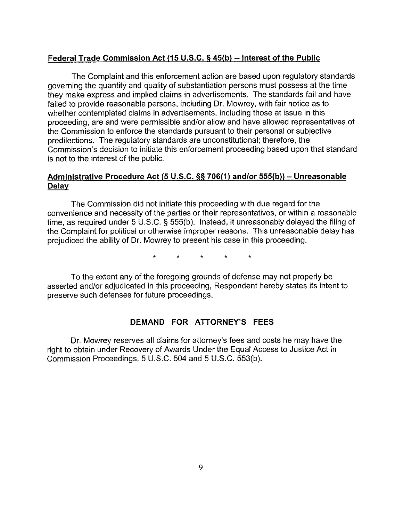## **Federal Trade Commission Act (15 U.S.C. 5 45(b)** -- **Interest of the Public**

The Complaint and this enforcement action are based upon regulatory standards governing the quantity and quality of substantiation persons must possess at the time they make express and implied claims in advertisements. The standards fail and have failed to provide reasonable persons, including Dr. Mowrey, with fair notice as to whether contemplated claims in advertisements, including those at issue in this proceeding, are and were permissible and/or allow and have allowed representatives of the Commission to enforce the standards pursuant to their personal or subjective predilections. The regulatory standards are unconstitutional; therefore, the Commission's decision to initiate this enforcement proceeding based upon that standard is not to the interest of the public.

# **Administrative Procedure Act (5 U.S.C. 55 706(1) andlor 555(b))** - **Unreasonable**

The Commission did not initiate this proceeding with due regard for the convenience and necessity of the parties or their representatives, or within a reasonable time, as required under 5 U.S.C. § 555(b). Instead, it unreasonably delayed the filing of the Complaint for political or otherwise improper reasons. This unreasonable delay has prejudiced the ability of Dr. Mowrey to present his case in this proceeding.

> $\star$  $\star$  $\star$  $\star$

To the extent any of the foregoing grounds of defense may not properly be asserted and/or adjudicated in this proceeding, Respondent hereby states its intent to preserve such defenses for future proceedings.

## **DEMAND FOR ATTORNEY'S FEES**

Dr. Mowrey reserves all claims for attorney's fees and costs he may have the right to obtain under Recovery of Awards Under the Equal Access to Justice Act in Commission Proceedings, 5 U.S.C. 504 and 5 U.S.C. 553(b).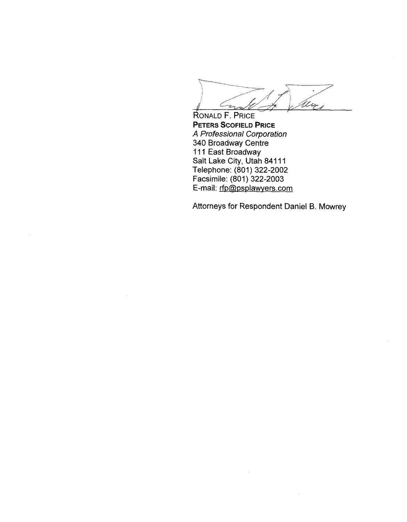Crack

RONALD F. PRICE **PETERS SCOFIELD PRICE A** Professional Corporation 340 Broadway Centre 111 East Broadway Salt Lake City, Utah 841 11 Telephone: (801) 322-2002 Facsimile: (801) 322-2003 E-mail: rfp@psplawyers.com

Attorneys for Respondent Daniel B. Mowrey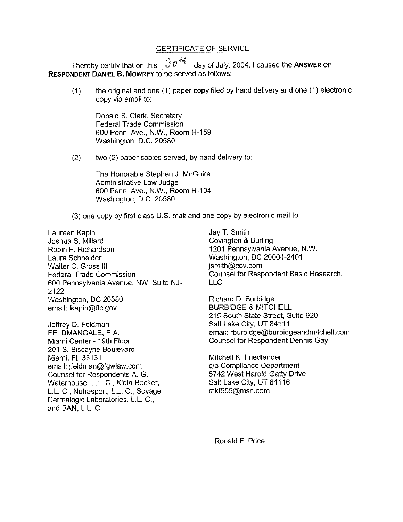## CERTIFICATE OF SERVICE

I hereby certify that on this  $30<sup>4</sup>$  day of July, 2004, I caused the ANSWER OF **RESPONDENT DANIEL B. MOWREY** to be sewed as follows:

(1) the original and one (1) paper copy filed by hand delivery and one (I) electronic copy via email to:

Donald S. Clark, Secretary Federal Trade Commission 600 Penn. Ave., N.W., Room H-159 Washington, D.C. 20580

(2) two (2) paper copies sewed, by hand delivery to:

The Honorable Stephen J. McGuire Administrative Law Judge 600 Penn. Ave., N.W., Room H-104 Washington, D.C. 20580

(3) one copy by first class U.S. mail and one copy by electronic mail to:

Laureen Kapin Joshua S. Millard Robin F. Richardson Laura Schneider Walter C. Gross Ill Federal Trade Commission 600 Pennsylvania Avenue, NW, Suite NJ-2122 Washington, DC 20580 email: Ikapin@flc.gov

Jeffrey D. Feldman FELDMANGALE, P.A. Miami Center - 19th Floor 201 S. Biscayne Boulevard Miami, FL 33131 email: jfeldman@fgwlaw.com Counsel for Respondents A. G. Waterhouse, L.L. C., Klein-Becker, L.L. C., Nutrasport, L.L. C., Sovage Dermalogic Laboratories, L.L. C., and BAN, L.L. C.

Jay T. Smith Covington & Burling 1201 Pennsylvania Avenue, N.W. Washington, DC 20004-2401 jsmith@cov.com Counsel for Respondent Basic Research, LLC

Richard D. Burbidge BURBIDGE & MITCHELL 215 South State Street, Suite 920 Salt Lake City, UT 84111 email: rburbidge@burbidgeandrnitchell.com Counsel for Respondent Dennis Gay

Mitchell K. Friedlander C/O Compliance Department 5742 West Harold Gatty Drive Salt Lake City, UT 841 16 mkf555@msn.com

Ronald F. Price